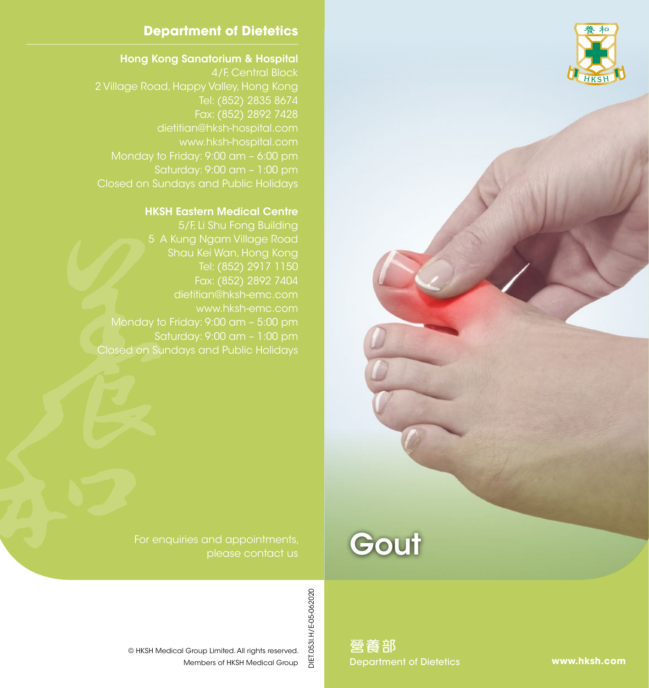

### **Department of Dietetics**

#### Hong Kong Sanatorium & Hospital

4/F, Central Block Tel: (852) 2835 8674 dietitian@hksh-hospital.com www.hksh-hospital.com Monday to Friday: 9:00 am – 6:00 pm Saturday: 9:00 am – 1:00 pm Closed on Sundays and Public Holidays

#### HKSH Eastern Medical Centre

5/F, Li Shu Fong Building 5 A Kung Ngam Village Road Shau Kei Wan, Hong Kong Tel: (852) 2917 1150 Fax: (852) 2892 7404 Monday to Friday: 9:00 am – 5:00 pm Saturday: 9:00 am – 1:00 pm Closed on Sundays and Public Holidays

> For enquiries and appointments, please contact us

> > DIET.053I.H/E-05-062020

and Sack of Americal All rights reserved.<br>
The Members of HKSH Medical Group<br>
Members of HKSH Medical Group © HKSH Medical Group Limited. All rights reserved.

營養部

**Gout** 

**www.hksh.com**